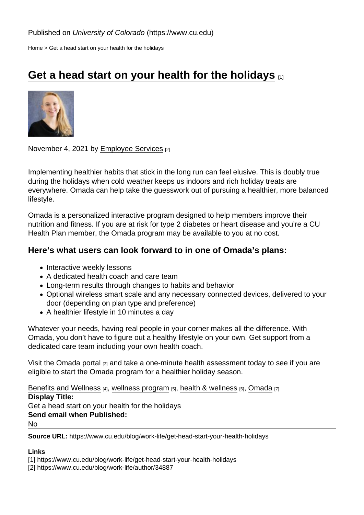[Home](https://www.cu.edu/) > Get a head start on your health for the holidays

## [Get a head start on your health for the holidays](https://www.cu.edu/blog/work-life/get-head-start-your-health-holidays)  $\frac{1}{11}$

November 4, 2021 by [Employee Services](https://www.cu.edu/blog/work-life/author/34887) [2]

Implementing healthier habits that stick in the long run can feel elusive. This is doubly true during the holidays when cold weather keeps us indoors and rich holiday treats are everywhere. Omada can help take the guesswork out of pursuing a healthier, more balanced lifestyle.

Omada is a personalized interactive program designed to help members improve their nutrition and fitness. If you are at risk for type 2 diabetes or heart disease and you're a CU Health Plan member, the Omada program may be available to you at no cost.

Here's what users can look forward to in one of Omada's plans:

- Interactive weekly lessons
- A dedicated health coach and care team
- Long-term results through changes to habits and behavior
- Optional wireless smart scale and any necessary connected devices, delivered to your door (depending on plan type and preference)
- A healthier lifestyle in 10 minutes a day

Whatever your needs, having real people in your corner makes all the difference. With Omada, you don't have to figure out a healthy lifestyle on your own. Get support from a dedicated care team including your own health coach.

[Visit the Omada portal](https://go.omadahealth.com/deployments/cuhealthplan) [3] and take a one-minute health assessment today to see if you are eligible to start the Omada program for a healthier holiday season.

[Benefits and Wellness](https://www.cu.edu/blog/work-life/tag/benefits-and-wellness) [4], [wellness program](https://www.cu.edu/blog/work-life/tag/wellness-program) [5], [health & wellness](https://www.cu.edu/blog/work-life/tag/health-&-wellness) [6], [Omada](https://www.cu.edu/blog/work-life/tag/omada) [7] Display Title: Get a head start on your health for the holidays Send email when Published: No

Source URL: https://www.cu.edu/blog/work-life/get-head-start-your-health-holidays

Links

[1] https://www.cu.edu/blog/work-life/get-head-start-your-health-holidays

[2] https://www.cu.edu/blog/work-life/author/34887